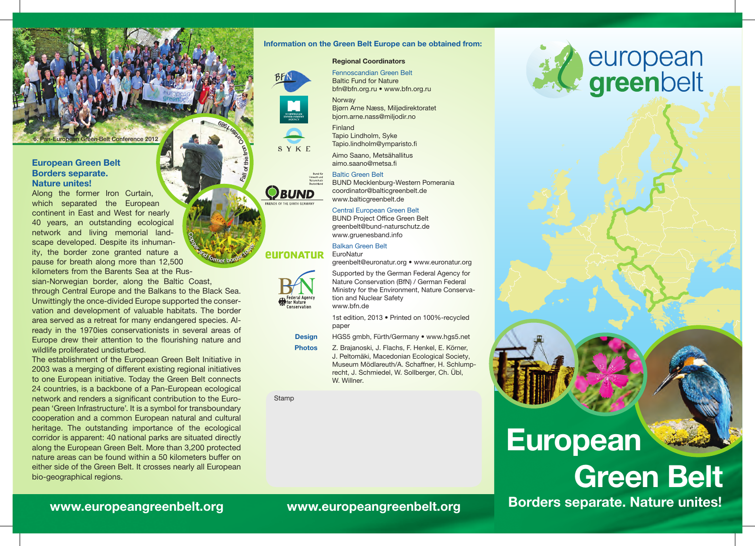**Belt Conference 2012** 

#### European Green Belt Borders separate. Nature unites!

Along the former Iron Curtain, which separated the European continent in East and West for nearly 40 years, an outstanding ecological network and living memorial landscape developed. Despite its inhumanity, the border zone granted nature a pause for breath along more than 12,500 kilometers from the Barents Sea at the Russian-Norwegian border, along the Baltic Coast,

through Central Europe and the Balkans to the Black Sea. Unwittingly the once-divided Europe supported the conservation and development of valuable habitats. The border area served as a retreat for many endangered species. Already in the 1970ies conservationists in several areas of Europe drew their attention to the flourishing nature and wildlife proliferated undisturbed.

The establishment of the European Green Belt Initiative in 2003 was a merging of different existing regional initiatives to one European initiative. Today the Green Belt connects 24 countries, is a backbone of a Pan-European ecological network and renders a significant contribution to the European 'Green Infrastructure'. It is a symbol for transboundary cooperation and a common European natural and cultural heritage. The outstanding importance of the ecological corridor is apparent: 40 national parks are situated directly along the European Green Belt. More than 3,200 protected nature areas can be found within a 50 kilometers buffer on either side of the Green Belt. It crosses nearly all European bio-geographical regions.

#### Information on the Green Belt Europe can be obtained from:

#### Regional Coordinators



Baltic Fund for Nature bfn@bfn.org.ru • www.bfn.org.ru **Norway** 

Fennoscandian Green Belt





bjorn.arne.nass@miljodir.no Tapio Lindholm, Syke

Bjørn Arne Næss, Miljødirektoratet

Tapio.lindholm@ymparisto.fi Aimo Saano, Metsähallitus

aimo.saano@metsa.fi

#### Baltic Green Belt



Fall of the Iron Custom

686 + UN

Coper and former border tower

BUND Mecklenburg-Western Pomerania coordinator@balticgreenbelt.de www.balticgreenbelt.de

#### Central European Green Belt

BUND Project Office Green Belt greenbelt@bund-naturschutz.de www.gruenesband.info

#### Balkan Green Belt

#### *<u>EULONATUR</u>* **EuroNatur** greenbelt@euronatur.org • www.euronatur.org



Supported by the German Federal Agency for Nature Conservation (BfN) / German Federal Ministry for the Environment, Nature Conservation and Nuclear Safety www.bfn.de

1st edition, 2013 • Printed on 100%-recycled paper

HGS5 gmbh, Fürth/Germany • www.hgs5.net

Z. Brajanoski, J. Flachs, F. Henkel, E. Körner, J. Peltomäki, Macedonian Ecological Society, Museum Mödlareuth/A. Schaffner, H. Schlumprecht, J. Schmiedel, W. Sollberger, Ch. Übl, W. Willner.

**Stamp** 



## European



www.europeangreenbelt.org www.europeangreenbelt.org Borders separate. Nature unites!

Design Photos